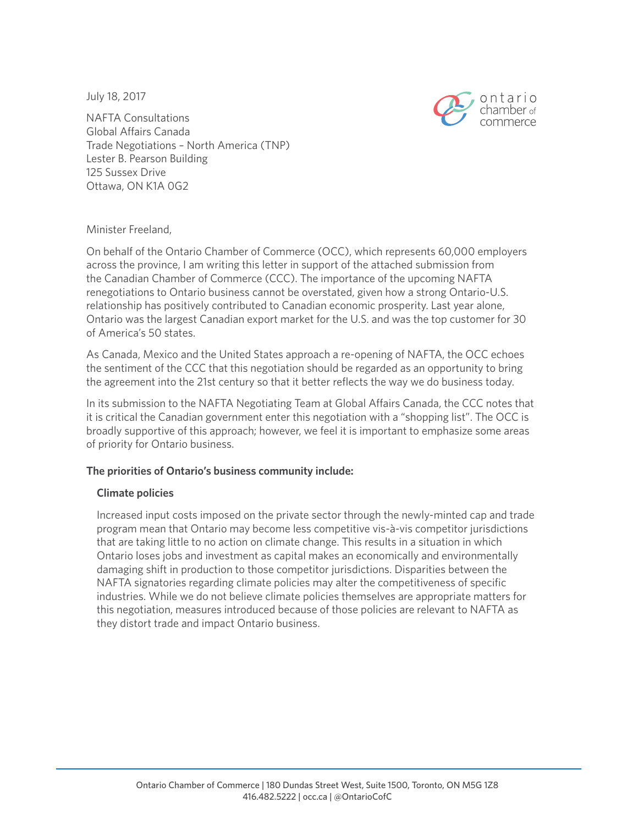July 18, 2017



NAFTA Consultations Global Affairs Canada Trade Negotiations – North America (TNP) Lester B. Pearson Building 125 Sussex Drive Ottawa, ON K1A 0G2

## Minister Freeland,

On behalf of the Ontario Chamber of Commerce (OCC), which represents 60,000 employers across the province, I am writing this letter in support of the attached submission from the Canadian Chamber of Commerce (CCC). The importance of the upcoming NAFTA renegotiations to Ontario business cannot be overstated, given how a strong Ontario-U.S. relationship has positively contributed to Canadian economic prosperity. Last year alone, Ontario was the largest Canadian export market for the U.S. and was the top customer for 30 of America's 50 states.

As Canada, Mexico and the United States approach a re-opening of NAFTA, the OCC echoes the sentiment of the CCC that this negotiation should be regarded as an opportunity to bring the agreement into the 21st century so that it better reflects the way we do business today.

In its submission to the NAFTA Negotiating Team at Global Affairs Canada, the CCC notes that it is critical the Canadian government enter this negotiation with a "shopping list". The OCC is broadly supportive of this approach; however, we feel it is important to emphasize some areas of priority for Ontario business.

#### **The priorities of Ontario's business community include:**

#### **Climate policies**

Increased input costs imposed on the private sector through the newly-minted cap and trade program mean that Ontario may become less competitive vis-à-vis competitor jurisdictions that are taking little to no action on climate change. This results in a situation in which Ontario loses jobs and investment as capital makes an economically and environmentally damaging shift in production to those competitor jurisdictions. Disparities between the NAFTA signatories regarding climate policies may alter the competitiveness of specific industries. While we do not believe climate policies themselves are appropriate matters for this negotiation, measures introduced because of those policies are relevant to NAFTA as they distort trade and impact Ontario business.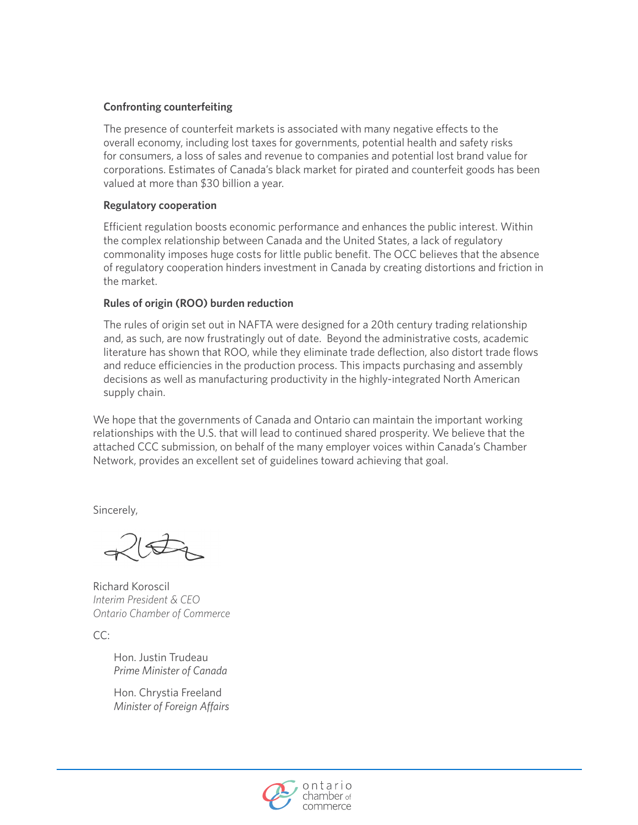#### **Confronting counterfeiting**

The presence of counterfeit markets is associated with many negative effects to the overall economy, including lost taxes for governments, potential health and safety risks for consumers, a loss of sales and revenue to companies and potential lost brand value for corporations. Estimates of Canada's black market for pirated and counterfeit goods has been valued at more than \$30 billion a year.

#### **Regulatory cooperation**

Efficient regulation boosts economic performance and enhances the public interest. Within the complex relationship between Canada and the United States, a lack of regulatory commonality imposes huge costs for little public benefit. The OCC believes that the absence of regulatory cooperation hinders investment in Canada by creating distortions and friction in the market.

## **Rules of origin (ROO) burden reduction**

The rules of origin set out in NAFTA were designed for a 20th century trading relationship and, as such, are now frustratingly out of date. Beyond the administrative costs, academic literature has shown that ROO, while they eliminate trade deflection, also distort trade flows and reduce efficiencies in the production process. This impacts purchasing and assembly decisions as well as manufacturing productivity in the highly-integrated North American supply chain.

We hope that the governments of Canada and Ontario can maintain the important working relationships with the U.S. that will lead to continued shared prosperity. We believe that the attached CCC submission, on behalf of the many employer voices within Canada's Chamber Network, provides an excellent set of guidelines toward achieving that goal.

Sincerely,

Richard Koroscil *Interim President & CEO Ontario Chamber of Commerce*

CC:

Hon. Justin Trudeau *Prime Minister of Canada*

Hon. Chrystia Freeland *Minister of Foreign Affairs*

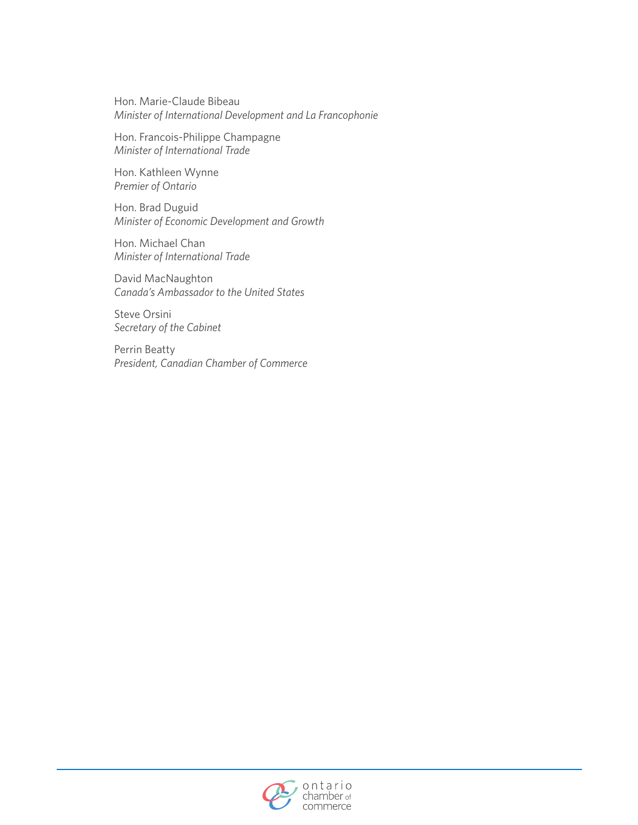Hon. Marie-Claude Bibeau *Minister of International Development and La Francophonie*

Hon. Francois-Philippe Champagne *Minister of International Trade*

Hon. Kathleen Wynne *Premier of Ontario*

Hon. Brad Duguid *Minister of Economic Development and Growth*

Hon. Michael Chan *Minister of International Trade*

David MacNaughton *Canada's Ambassador to the United States*

Steve Orsini *Secretary of the Cabinet*

Perrin Beatty *President, Canadian Chamber of Commerce*

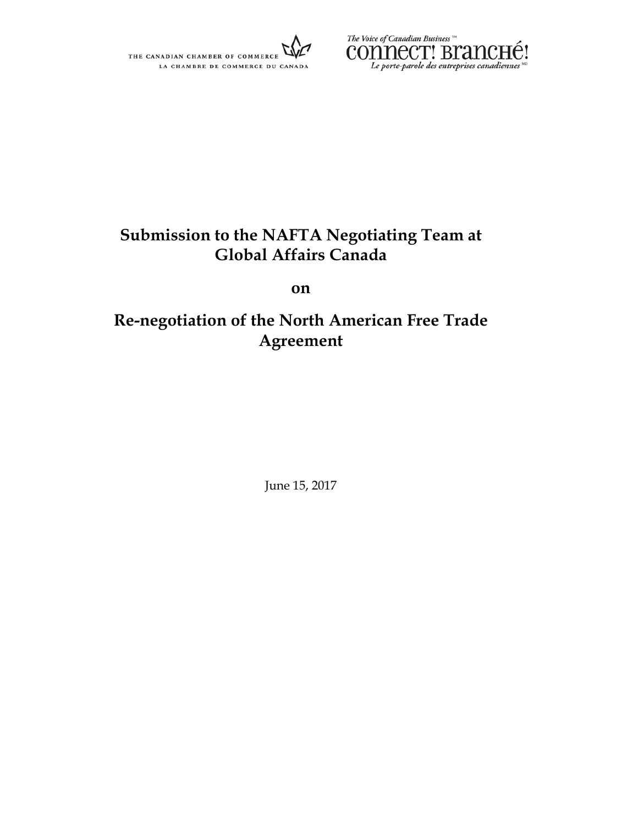



# **Submission to the NAFTA Negotiating Team at Global Affairs Canada**

**on**

# **Re-negotiation of the North American Free Trade Agreement**

June 15, 2017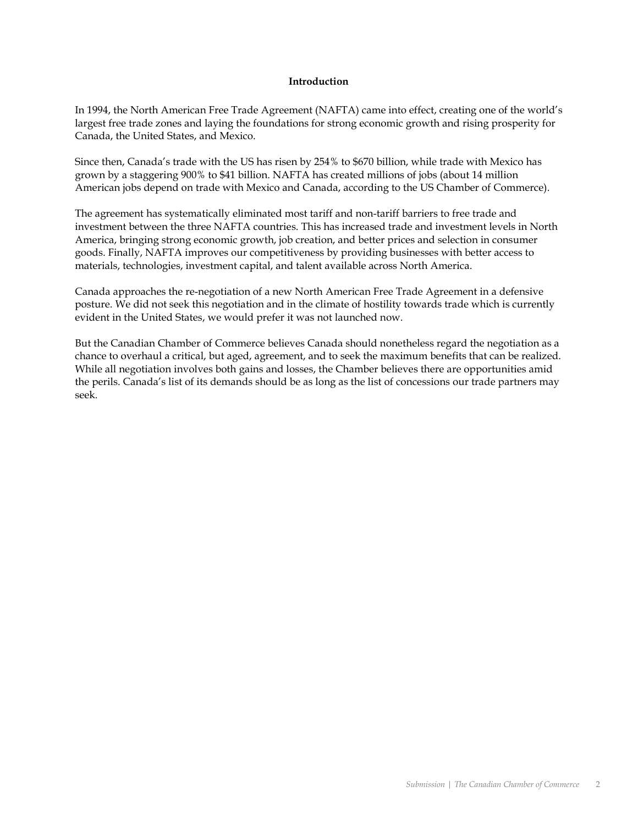#### **Introduction**

In 1994, the North American Free Trade Agreement (NAFTA) came into effect, creating one of the world's largest free trade zones and laying the foundations for strong economic growth and rising prosperity for Canada, the United States, and Mexico.

Since then, Canada's trade with the US has risen by 254% to \$670 billion, while trade with Mexico has grown by a staggering 900% to \$41 billion. NAFTA has created millions of jobs (about 14 million American jobs depend on trade with Mexico and Canada, according to the US Chamber of Commerce).

The agreement has systematically eliminated most tariff and non-tariff barriers to free trade and investment between the three NAFTA countries. This has increased trade and investment levels in North America, bringing strong economic growth, job creation, and better prices and selection in consumer goods. Finally, NAFTA improves our competitiveness by providing businesses with better access to materials, technologies, investment capital, and talent available across North America.

Canada approaches the re-negotiation of a new North American Free Trade Agreement in a defensive posture. We did not seek this negotiation and in the climate of hostility towards trade which is currently evident in the United States, we would prefer it was not launched now.

But the Canadian Chamber of Commerce believes Canada should nonetheless regard the negotiation as a chance to overhaul a critical, but aged, agreement, and to seek the maximum benefits that can be realized. While all negotiation involves both gains and losses, the Chamber believes there are opportunities amid the perils. Canada's list of its demands should be as long as the list of concessions our trade partners may seek.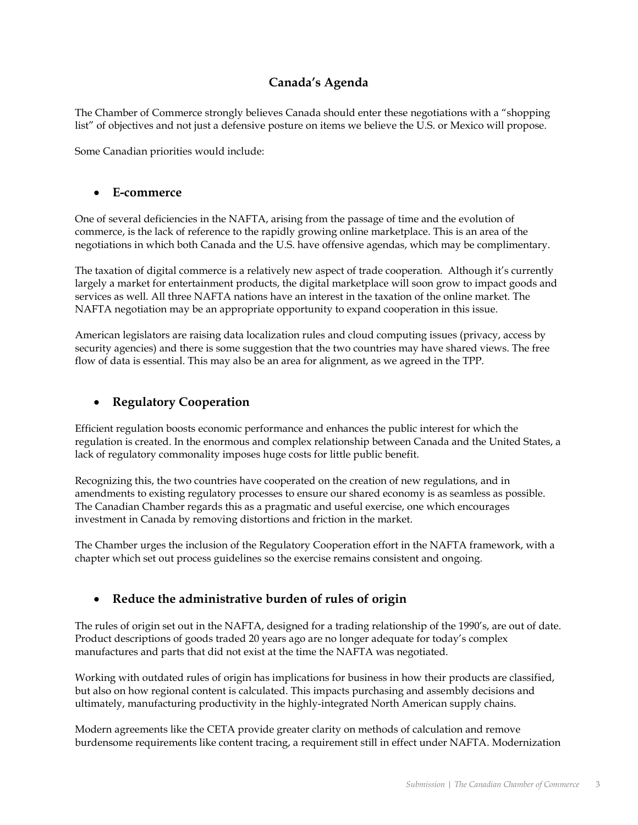# **Canada's Agenda**

The Chamber of Commerce strongly believes Canada should enter these negotiations with a "shopping list" of objectives and not just a defensive posture on items we believe the U.S. or Mexico will propose.

Some Canadian priorities would include:

#### • **E-commerce**

One of several deficiencies in the NAFTA, arising from the passage of time and the evolution of commerce, is the lack of reference to the rapidly growing online marketplace. This is an area of the negotiations in which both Canada and the U.S. have offensive agendas, which may be complimentary.

The taxation of digital commerce is a relatively new aspect of trade cooperation. Although it's currently largely a market for entertainment products, the digital marketplace will soon grow to impact goods and services as well. All three NAFTA nations have an interest in the taxation of the online market. The NAFTA negotiation may be an appropriate opportunity to expand cooperation in this issue.

American legislators are raising data localization rules and cloud computing issues (privacy, access by security agencies) and there is some suggestion that the two countries may have shared views. The free flow of data is essential. This may also be an area for alignment, as we agreed in the TPP.

## • **Regulatory Cooperation**

Efficient regulation boosts economic performance and enhances the public interest for which the regulation is created. In the enormous and complex relationship between Canada and the United States, a lack of regulatory commonality imposes huge costs for little public benefit.

Recognizing this, the two countries have cooperated on the creation of new regulations, and in amendments to existing regulatory processes to ensure our shared economy is as seamless as possible. The Canadian Chamber regards this as a pragmatic and useful exercise, one which encourages investment in Canada by removing distortions and friction in the market.

The Chamber urges the inclusion of the Regulatory Cooperation effort in the NAFTA framework, with a chapter which set out process guidelines so the exercise remains consistent and ongoing.

# • **Reduce the administrative burden of rules of origin**

The rules of origin set out in the NAFTA, designed for a trading relationship of the 1990's, are out of date. Product descriptions of goods traded 20 years ago are no longer adequate for today's complex manufactures and parts that did not exist at the time the NAFTA was negotiated.

Working with outdated rules of origin has implications for business in how their products are classified, but also on how regional content is calculated. This impacts purchasing and assembly decisions and ultimately, manufacturing productivity in the highly-integrated North American supply chains.

Modern agreements like the CETA provide greater clarity on methods of calculation and remove burdensome requirements like content tracing, a requirement still in effect under NAFTA. Modernization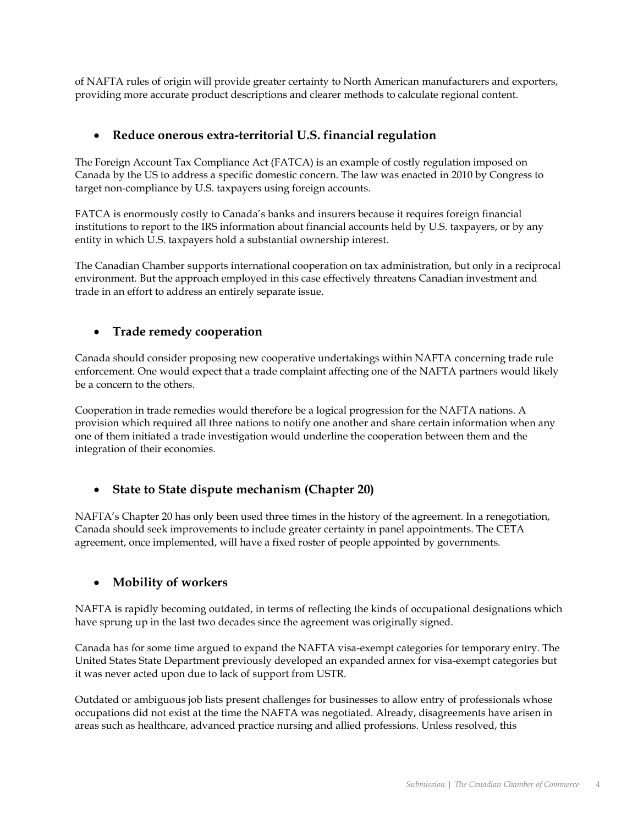of NAFTA rules of origin will provide greater certainty to North American manufacturers and exporters, providing more accurate product descriptions and clearer methods to calculate regional content.

## • **Reduce onerous extra-territorial U.S. financial regulation**

The Foreign Account Tax Compliance Act (FATCA) is an example of costly regulation imposed on Canada by the US to address a specific domestic concern. The law was enacted in 2010 by Congress to target non-compliance by U.S. taxpayers using foreign accounts.

FATCA is enormously costly to Canada's banks and insurers because it requires foreign financial institutions to report to the IRS information about financial accounts held by U.S. taxpayers, or by any entity in which U.S. taxpayers hold a substantial ownership interest.

The Canadian Chamber supports international cooperation on tax administration, but only in a reciprocal environment. But the approach employed in this case effectively threatens Canadian investment and trade in an effort to address an entirely separate issue.

# • **Trade remedy cooperation**

Canada should consider proposing new cooperative undertakings within NAFTA concerning trade rule enforcement. One would expect that a trade complaint affecting one of the NAFTA partners would likely be a concern to the others.

Cooperation in trade remedies would therefore be a logical progression for the NAFTA nations. A provision which required all three nations to notify one another and share certain information when any one of them initiated a trade investigation would underline the cooperation between them and the integration of their economies.

# • **State to State dispute mechanism (Chapter 20)**

NAFTA's Chapter 20 has only been used three times in the history of the agreement. In a renegotiation, Canada should seek improvements to include greater certainty in panel appointments. The CETA agreement, once implemented, will have a fixed roster of people appointed by governments.

## • **Mobility of workers**

NAFTA is rapidly becoming outdated, in terms of reflecting the kinds of occupational designations which have sprung up in the last two decades since the agreement was originally signed.

Canada has for some time argued to expand the NAFTA visa-exempt categories for temporary entry. The United States State Department previously developed an expanded annex for visa-exempt categories but it was never acted upon due to lack of support from USTR.

Outdated or ambiguous job lists present challenges for businesses to allow entry of professionals whose occupations did not exist at the time the NAFTA was negotiated. Already, disagreements have arisen in areas such as healthcare, advanced practice nursing and allied professions. Unless resolved, this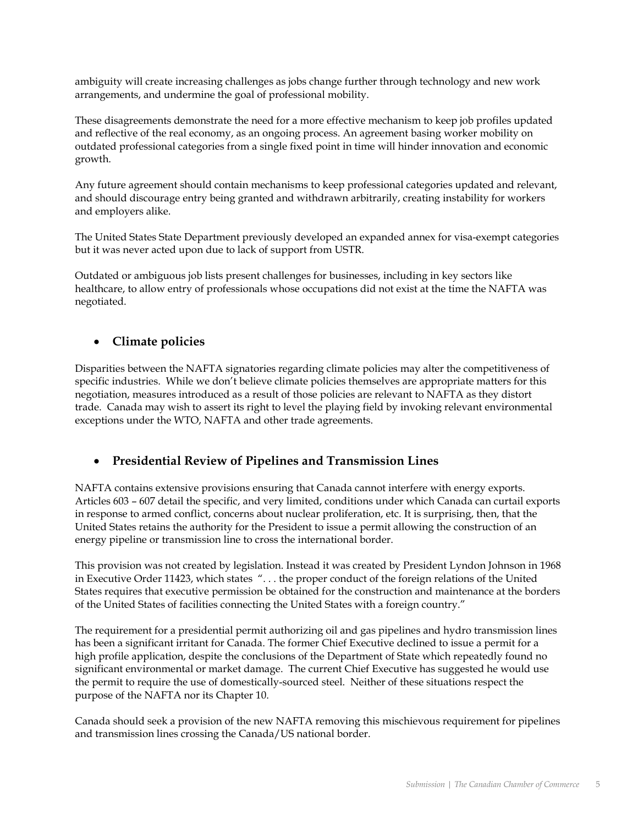ambiguity will create increasing challenges as jobs change further through technology and new work arrangements, and undermine the goal of professional mobility.

These disagreements demonstrate the need for a more effective mechanism to keep job profiles updated and reflective of the real economy, as an ongoing process. An agreement basing worker mobility on outdated professional categories from a single fixed point in time will hinder innovation and economic growth.

Any future agreement should contain mechanisms to keep professional categories updated and relevant, and should discourage entry being granted and withdrawn arbitrarily, creating instability for workers and employers alike.

The United States State Department previously developed an expanded annex for visa-exempt categories but it was never acted upon due to lack of support from USTR.

Outdated or ambiguous job lists present challenges for businesses, including in key sectors like healthcare, to allow entry of professionals whose occupations did not exist at the time the NAFTA was negotiated.

# • **Climate policies**

Disparities between the NAFTA signatories regarding climate policies may alter the competitiveness of specific industries. While we don't believe climate policies themselves are appropriate matters for this negotiation, measures introduced as a result of those policies are relevant to NAFTA as they distort trade. Canada may wish to assert its right to level the playing field by invoking relevant environmental exceptions under the WTO, NAFTA and other trade agreements.

# • **Presidential Review of Pipelines and Transmission Lines**

NAFTA contains extensive provisions ensuring that Canada cannot interfere with energy exports. Articles 603 – 607 detail the specific, and very limited, conditions under which Canada can curtail exports in response to armed conflict, concerns about nuclear proliferation, etc. It is surprising, then, that the United States retains the authority for the President to issue a permit allowing the construction of an energy pipeline or transmission line to cross the international border.

This provision was not created by legislation. Instead it was created by President Lyndon Johnson in 1968 in [Executive Order 11423,](http://www.state.gov/e/eb/rls/othr/exec/114274.htm) which states ". . . the proper conduct of the foreign relations of the United States requires that executive permission be obtained for the construction and maintenance at the borders of the United States of facilities connecting the United States with a foreign country."

The requirement for a presidential permit authorizing oil and gas pipelines and hydro transmission lines has been a significant irritant for Canada. The former Chief Executive declined to issue a permit for a high profile application, despite the conclusions of the Department of State which repeatedly found no significant environmental or market damage. The current Chief Executive has suggested he would use the permit to require the use of domestically-sourced steel. Neither of these situations respect the purpose of the NAFTA nor its Chapter 10.

Canada should seek a provision of the new NAFTA removing this mischievous requirement for pipelines and transmission lines crossing the Canada/US national border.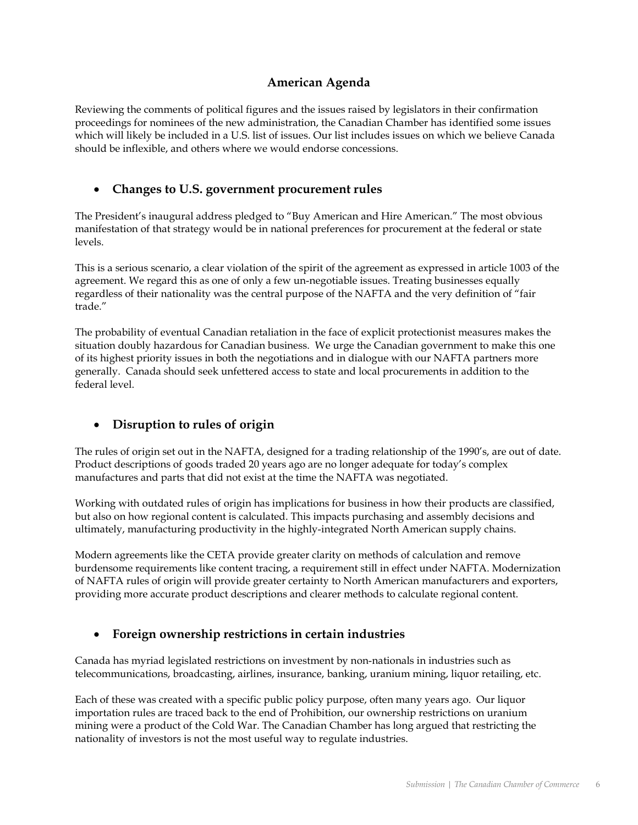# **American Agenda**

Reviewing the comments of political figures and the issues raised by legislators in their confirmation proceedings for nominees of the new administration, the Canadian Chamber has identified some issues which will likely be included in a U.S. list of issues. Our list includes issues on which we believe Canada should be inflexible, and others where we would endorse concessions.

# • **Changes to U.S. government procurement rules**

The President's inaugural address pledged to "Buy American and Hire American." The most obvious manifestation of that strategy would be in national preferences for procurement at the federal or state levels.

This is a serious scenario, a clear violation of the spirit of the agreement as expressed in article 1003 of the agreement. We regard this as one of only a few un-negotiable issues. Treating businesses equally regardless of their nationality was the central purpose of the NAFTA and the very definition of "fair trade."

The probability of eventual Canadian retaliation in the face of explicit protectionist measures makes the situation doubly hazardous for Canadian business. We urge the Canadian government to make this one of its highest priority issues in both the negotiations and in dialogue with our NAFTA partners more generally. Canada should seek unfettered access to state and local procurements in addition to the federal level.

# • **Disruption to rules of origin**

The rules of origin set out in the NAFTA, designed for a trading relationship of the 1990's, are out of date. Product descriptions of goods traded 20 years ago are no longer adequate for today's complex manufactures and parts that did not exist at the time the NAFTA was negotiated.

Working with outdated rules of origin has implications for business in how their products are classified, but also on how regional content is calculated. This impacts purchasing and assembly decisions and ultimately, manufacturing productivity in the highly-integrated North American supply chains.

Modern agreements like the CETA provide greater clarity on methods of calculation and remove burdensome requirements like content tracing, a requirement still in effect under NAFTA. Modernization of NAFTA rules of origin will provide greater certainty to North American manufacturers and exporters, providing more accurate product descriptions and clearer methods to calculate regional content.

## • **Foreign ownership restrictions in certain industries**

Canada has myriad legislated restrictions on investment by non-nationals in industries such as telecommunications, broadcasting, airlines, insurance, banking, uranium mining, liquor retailing, etc.

Each of these was created with a specific public policy purpose, often many years ago. Our liquor importation rules are traced back to the end of Prohibition, our ownership restrictions on uranium mining were a product of the Cold War. The Canadian Chamber has long argued that restricting the nationality of investors is not the most useful way to regulate industries.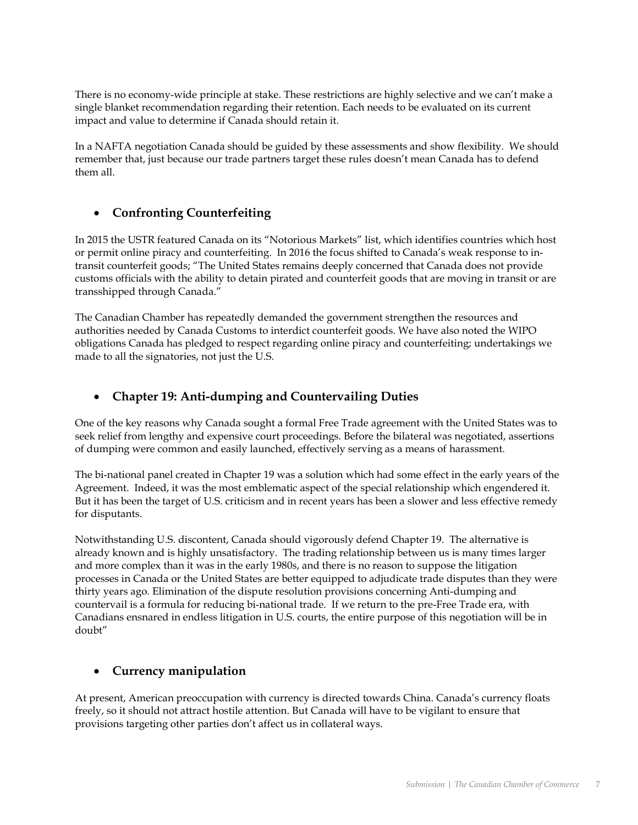There is no economy-wide principle at stake. These restrictions are highly selective and we can't make a single blanket recommendation regarding their retention. Each needs to be evaluated on its current impact and value to determine if Canada should retain it.

In a NAFTA negotiation Canada should be guided by these assessments and show flexibility. We should remember that, just because our trade partners target these rules doesn't mean Canada has to defend them all.

# • **Confronting Counterfeiting**

In 2015 the USTR featured Canada on its "Notorious Markets" list, which identifies countries which host or permit online piracy and counterfeiting. In 2016 the focus shifted to Canada's weak response to intransit counterfeit goods; "The United States remains deeply concerned that Canada does not provide customs officials with the ability to detain pirated and counterfeit goods that are moving in transit or are transshipped through Canada."

The Canadian Chamber has repeatedly demanded the government strengthen the resources and authorities needed by Canada Customs to interdict counterfeit goods. We have also noted the WIPO obligations Canada has pledged to respect regarding online piracy and counterfeiting; undertakings we made to all the signatories, not just the U.S.

## • **Chapter 19: Anti-dumping and Countervailing Duties**

One of the key reasons why Canada sought a formal Free Trade agreement with the United States was to seek relief from lengthy and expensive court proceedings. Before the bilateral was negotiated, assertions of dumping were common and easily launched, effectively serving as a means of harassment.

The bi-national panel created in Chapter 19 was a solution which had some effect in the early years of the Agreement. Indeed, it was the most emblematic aspect of the special relationship which engendered it. But it has been the target of U.S. criticism and in recent years has been a slower and less effective remedy for disputants.

Notwithstanding U.S. discontent, Canada should vigorously defend Chapter 19. The alternative is already known and is highly unsatisfactory. The trading relationship between us is many times larger and more complex than it was in the early 1980s, and there is no reason to suppose the litigation processes in Canada or the United States are better equipped to adjudicate trade disputes than they were thirty years ago. Elimination of the dispute resolution provisions concerning Anti-dumping and countervail is a formula for reducing bi-national trade. If we return to the pre-Free Trade era, with Canadians ensnared in endless litigation in U.S. courts, the entire purpose of this negotiation will be in doubt"

## • **Currency manipulation**

At present, American preoccupation with currency is directed towards China. Canada's currency floats freely, so it should not attract hostile attention. But Canada will have to be vigilant to ensure that provisions targeting other parties don't affect us in collateral ways.